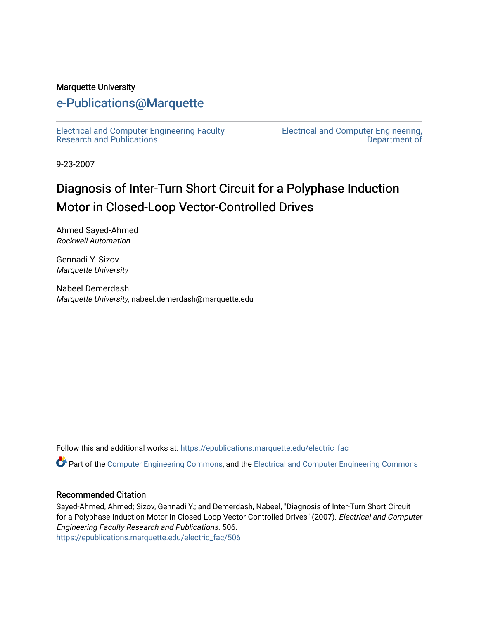#### Marquette University

### [e-Publications@Marquette](https://epublications.marquette.edu/)

[Electrical and Computer Engineering Faculty](https://epublications.marquette.edu/electric_fac) [Research and Publications](https://epublications.marquette.edu/electric_fac) 

[Electrical and Computer Engineering,](https://epublications.marquette.edu/electric)  [Department of](https://epublications.marquette.edu/electric) 

9-23-2007

# Diagnosis of Inter-Turn Short Circuit for a Polyphase Induction Motor in Closed-Loop Vector-Controlled Drives

Ahmed Sayed-Ahmed Rockwell Automation

Gennadi Y. Sizov Marquette University

Nabeel Demerdash Marquette University, nabeel.demerdash@marquette.edu

Follow this and additional works at: [https://epublications.marquette.edu/electric\\_fac](https://epublications.marquette.edu/electric_fac?utm_source=epublications.marquette.edu%2Felectric_fac%2F506&utm_medium=PDF&utm_campaign=PDFCoverPages) 

Part of the [Computer Engineering Commons,](http://network.bepress.com/hgg/discipline/258?utm_source=epublications.marquette.edu%2Felectric_fac%2F506&utm_medium=PDF&utm_campaign=PDFCoverPages) and the [Electrical and Computer Engineering Commons](http://network.bepress.com/hgg/discipline/266?utm_source=epublications.marquette.edu%2Felectric_fac%2F506&utm_medium=PDF&utm_campaign=PDFCoverPages)

#### Recommended Citation

Sayed-Ahmed, Ahmed; Sizov, Gennadi Y.; and Demerdash, Nabeel, "Diagnosis of Inter-Turn Short Circuit for a Polyphase Induction Motor in Closed-Loop Vector-Controlled Drives" (2007). Electrical and Computer Engineering Faculty Research and Publications. 506. [https://epublications.marquette.edu/electric\\_fac/506](https://epublications.marquette.edu/electric_fac/506?utm_source=epublications.marquette.edu%2Felectric_fac%2F506&utm_medium=PDF&utm_campaign=PDFCoverPages)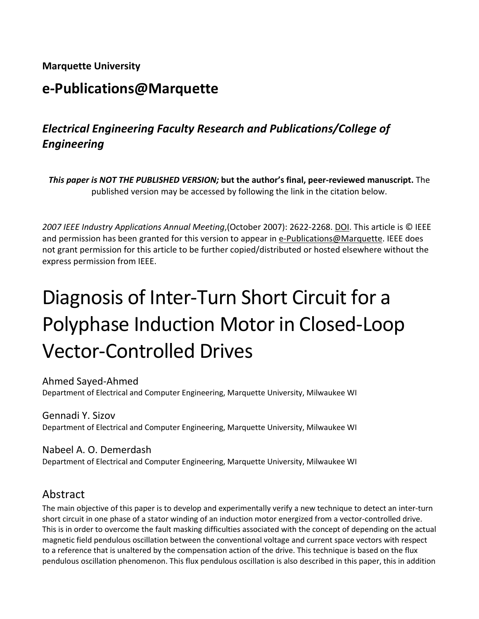#### **Marquette University**

## **e-Publications@Marquette**

### *Electrical Engineering Faculty Research and Publications/College of Engineering*

*This paper is NOT THE PUBLISHED VERSION;* **but the author's final, peer-reviewed manuscript.** The published version may be accessed by following the link in the citation below.

*2007 IEEE Industry Applications Annual Meeting*,(October 2007): 2622-2268. DOI. This article is © IEEE and permission has been granted for this version to appear in [e-Publications@Marquette.](http://epublications.marquette.edu/) IEEE does not grant permission for this article to be further copied/distributed or hosted elsewhere without the express permission from IEEE.

# Diagnosis of Inter-Turn Short Circuit for a Polyphase Induction Motor in Closed-Loop Vector-Controlled Drives

Ahmed Sayed-Ahmed Department of Electrical and Computer Engineering, Marquette University, Milwaukee WI

Gennadi Y. Sizov Department of Electrical and Computer Engineering, Marquette University, Milwaukee WI

Nabeel A. O. Demerdash Department of Electrical and Computer Engineering, Marquette University, Milwaukee WI

### Abstract

The main objective of this paper is to develop and experimentally verify a new technique to detect an inter-turn short circuit in one phase of a stator winding of an induction motor energized from a vector-controlled drive. This is in order to overcome the fault masking difficulties associated with the concept of depending on the actual magnetic field pendulous oscillation between the conventional voltage and current space vectors with respect to a reference that is unaltered by the compensation action of the drive. This technique is based on the flux pendulous oscillation phenomenon. This flux pendulous oscillation is also described in this paper, this in addition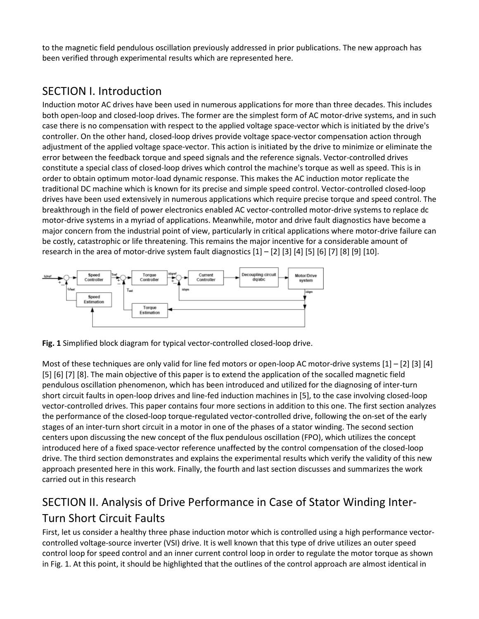to the magnetic field pendulous oscillation previously addressed in prior publications. The new approach has been verified through experimental results which are represented here.

### SECTION I. Introduction

Induction motor AC drives have been used in numerous applications for more than three decades. This includes both open-loop and closed-loop drives. The former are the simplest form of AC motor-drive systems, and in such case there is no compensation with respect to the applied voltage space-vector which is initiated by the drive's controller. On the other hand, closed-loop drives provide voltage space-vector compensation action through adjustment of the applied voltage space-vector. This action is initiated by the drive to minimize or eliminate the error between the feedback torque and speed signals and the reference signals. Vector-controlled drives constitute a special class of closed-loop drives which control the machine's torque as well as speed. This is in order to obtain optimum motor-load dynamic response. This makes the AC induction motor replicate the traditional DC machine which is known for its precise and simple speed control. Vector-controlled closed-loop drives have been used extensively in numerous applications which require precise torque and speed control. The breakthrough in the field of power electronics enabled AC vector-controlled motor-drive systems to replace dc motor-drive systems in a myriad of applications. Meanwhile, motor and drive fault diagnostics have become a major concern from the industrial point of view, particularly in critical applications where motor-drive failure can be costly, catastrophic or life threatening. This remains the major incentive for a considerable amount of research in the area of motor-drive system fault diagnostics [1] – [2] [3] [4] [5] [6] [7] [8] [9] [10].



**Fig. 1** Simplified block diagram for typical vector-controlled closed-loop drive.

Most of these techniques are only valid for line fed motors or open-loop AC motor-drive systems  $[1] - [2]$  [3] [4] [5] [6] [7] [8]. The main objective of this paper is to extend the application of the socalled magnetic field pendulous oscillation phenomenon, which has been introduced and utilized for the diagnosing of inter-turn short circuit faults in open-loop drives and line-fed induction machines in [5], to the case involving closed-loop vector-controlled drives. This paper contains four more sections in addition to this one. The first section analyzes the performance of the closed-loop torque-regulated vector-controlled drive, following the on-set of the early stages of an inter-turn short circuit in a motor in one of the phases of a stator winding. The second section centers upon discussing the new concept of the flux pendulous oscillation (FPO), which utilizes the concept introduced here of a fixed space-vector reference unaffected by the control compensation of the closed-loop drive. The third section demonstrates and explains the experimental results which verify the validity of this new approach presented here in this work. Finally, the fourth and last section discusses and summarizes the work carried out in this research

## SECTION II. Analysis of Drive Performance in Case of Stator Winding Inter-Turn Short Circuit Faults

First, let us consider a healthy three phase induction motor which is controlled using a high performance vectorcontrolled voltage-source inverter (VSI) drive. It is well known that this type of drive utilizes an outer speed control loop for speed control and an inner current control loop in order to regulate the motor torque as shown in Fig. 1. At this point, it should be highlighted that the outlines of the control approach are almost identical in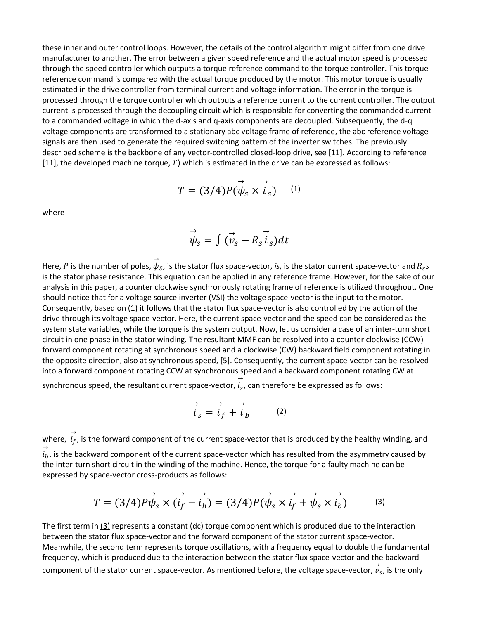these inner and outer control loops. However, the details of the control algorithm might differ from one drive manufacturer to another. The error between a given speed reference and the actual motor speed is processed through the speed controller which outputs a torque reference command to the torque controller. This torque reference command is compared with the actual torque produced by the motor. This motor torque is usually estimated in the drive controller from terminal current and voltage information. The error in the torque is processed through the torque controller which outputs a reference current to the current controller. The output current is processed through the decoupling circuit which is responsible for converting the commanded current to a commanded voltage in which the d-axis and q-axis components are decoupled. Subsequently, the d-q voltage components are transformed to a stationary abc voltage frame of reference, the abc reference voltage signals are then used to generate the required switching pattern of the inverter switches. The previously described scheme is the backbone of any vector-controlled closed-loop drive, see [11]. According to reference [11], the developed machine torque,  $T$ ) which is estimated in the drive can be expressed as follows:

$$
T = (3/4)P(\vec{\psi}_s \times \vec{i}_s) \quad (1)
$$

where

$$
\vec{\psi}_s = \int (\vec{v}_s - \vec{R}_s \vec{i}_s) dt
$$

Here,  $P$  is the number of poles,  $\vec{\psi}_S$ , is the stator flux space-vector, *is*, is the stator current space-vector and  $R_{\scriptscriptstyle S}$ s is the stator phase resistance. This equation can be applied in any reference frame. However, for the sake of our analysis in this paper, a counter clockwise synchronously rotating frame of reference is utilized throughout. One should notice that for a voltage source inverter (VSI) the voltage space-vector is the input to the motor. Consequently, based o[n \(1\)](https://ieeexplore.ieee.org/document/#deqn1) it follows that the stator flux space-vector is also controlled by the action of the drive through its voltage space-vector. Here, the current space-vector and the speed can be considered as the system state variables, while the torque is the system output. Now, let us consider a case of an inter-turn short circuit in one phase in the stator winding. The resultant MMF can be resolved into a counter clockwise (CCW) forward component rotating at synchronous speed and a clockwise (CW) backward field component rotating in the opposite direction, also at synchronous speed, [5]. Consequently, the current space-vector can be resolved into a forward component rotating CCW at synchronous speed and a backward component rotating CW at

synchronous speed, the resultant current space-vector,  $\vec{i_s}$ , can therefore be expressed as follows:

$$
\vec{i}_s = \vec{i}_f + \vec{i}_b \tag{2}
$$

where,  $\vec{i}_f$ , is the forward component of the current space-vector that is produced by the healthy winding, and  $\iota_b$  $\vec{a}_b$ , is the backward component of the current space-vector which has resulted from the asymmetry caused by the inter-turn short circuit in the winding of the machine. Hence, the torque for a faulty machine can be expressed by space-vector cross-products as follows:

$$
T = (3/4)P\vec{\psi}_s \times (\vec{i}_f + \vec{i}_b) = (3/4)P(\vec{\psi}_s \times \vec{i}_f + \vec{\psi}_s \times \vec{i}_b)
$$
 (3)

The first term i[n \(3\)](https://ieeexplore.ieee.org/document/#deqn3) represents a constant (dc) torque component which is produced due to the interaction between the stator flux space-vector and the forward component of the stator current space-vector. Meanwhile, the second term represents torque oscillations, with a frequency equal to double the fundamental frequency, which is produced due to the interaction between the stator flux space-vector and the backward component of the stator current space-vector. As mentioned before, the voltage space-vector,  $\vec{v}_s$ , is the only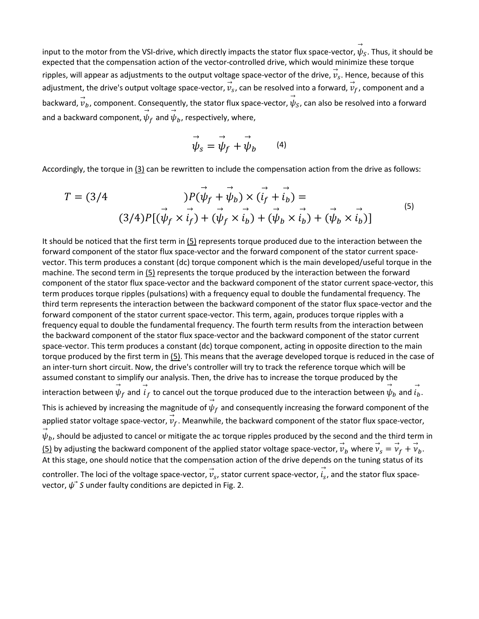input to the motor from the VSI-drive, which directly impacts the stator flux space-vector,  $\vec{\psi}_S$ . Thus, it should be expected that the compensation action of the vector-controlled drive, which would minimize these torque ripples, will appear as adjustments to the output voltage space-vector of the drive,  $\vec{v}_s$ . Hence, because of this adjustment, the drive's output voltage space-vector,  $\vec{v}_s$ , can be resolved into a forward,  $\vec{v}_f$ , component and a backward,  $\vec{v}_b$ , component. Consequently, the stator flux space-vector,  $\vec{\psi}_S$ , can also be resolved into a forward and a backward component,  $\stackrel{\rightarrow}{\psi}_f$  and  $\stackrel{\rightarrow}{\psi}_b$ , respectively, where,

$$
\vec{\psi}_s = \vec{\psi}_f + \vec{\psi}_b \qquad (4)
$$

Accordingly, the torque in [\(3\)](https://ieeexplore.ieee.org/document/#deqn3) can be rewritten to include the compensation action from the drive as follows:

$$
T = (3/4 \qquad \qquad) P(\vec{\psi}_f + \vec{\psi}_b) \times (\vec{i}_f + \vec{i}_b) =
$$
  

$$
(3/4) P[(\vec{\psi}_f \times \vec{i}_f) + (\vec{\psi}_f \times \vec{i}_b) + (\vec{\psi}_b \times \vec{i}_b) + (\vec{\psi}_b \times \vec{i}_b)]
$$
 (5)

It should be noticed that the first term in  $(5)$  represents torque produced due to the interaction between the forward component of the stator flux space-vector and the forward component of the stator current spacevector. This term produces a constant (dc) torque component which is the main developed/useful torque in the machine. The second term in  $(5)$  represents the torque produced by the interaction between the forward component of the stator flux space-vector and the backward component of the stator current space-vector, this term produces torque ripples (pulsations) with a frequency equal to double the fundamental frequency. The third term represents the interaction between the backward component of the stator flux space-vector and the forward component of the stator current space-vector. This term, again, produces torque ripples with a frequency equal to double the fundamental frequency. The fourth term results from the interaction between the backward component of the stator flux space-vector and the backward component of the stator current space-vector. This term produces a constant (dc) torque component, acting in opposite direction to the main torque produced by the first term in  $(5)$ . This means that the average developed torque is reduced in the case of an inter-turn short circuit. Now, the drive's controller will try to track the reference torque which will be assumed constant to simplify our analysis. Then, the drive has to increase the torque produced by the interaction between  $\vec{\psi}_f$  and  $\vec{i}_f$  to cancel out the torque produced due to the interaction between  $\vec{\psi}_b$  and  $\vec{i}_b$ .

This is achieved by increasing the magnitude of  $\stackrel{\rightarrow}{\psi}_f$  and consequently increasing the forward component of the applied stator voltage space-vector,  $\vec{v}_f$ . Meanwhile, the backward component of the stator flux space-vector,

ψ  $\vec{\psi}_b$ , should be adjusted to cancel or mitigate the ac torque ripples produced by the second and the third term in

[\(5\)](https://ieeexplore.ieee.org/document/#deqn5) by adjusting the backward component of the applied stator voltage space-vector,  $\vec{v}_b$  where  $\vec{v}_s = \vec{v}_f + \vec{v}_b$ . At this stage, one should notice that the compensation action of the drive depends on the tuning status of its

controller. The loci of the voltage space-vector,  $\vec{v}_s$ , stator current space-vector,  $\vec{i}_s$ , and the stator flux spacevector, *ψ*⃗ *S* under faulty conditions are depicted in Fig. 2.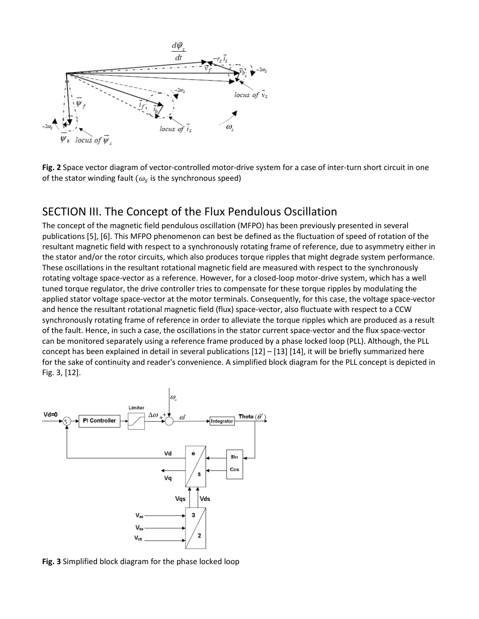

**Fig. 2** Space vector diagram of vector-controlled motor-drive system for a case of inter-turn short circuit in one of the stator winding fault ( $\omega_s$  is the synchronous speed)

### SECTION III. The Concept of the Flux Pendulous Oscillation

The concept of the magnetic field pendulous oscillation (MFPO) has been previously presented in several publications [5], [6]. This MFPO phenomenon can best be defined as the fluctuation of speed of rotation of the resultant magnetic field with respect to a synchronously rotating frame of reference, due to asymmetry either in the stator and/or the rotor circuits, which also produces torque ripples that might degrade system performance. These oscillations in the resultant rotational magnetic field are measured with respect to the synchronously rotating voltage space-vector as a reference. However, for a closed-loop motor-drive system, which has a well tuned torque regulator, the drive controller tries to compensate for these torque ripples by modulating the applied stator voltage space-vector at the motor terminals. Consequently, for this case, the voltage space-vector and hence the resultant rotational magnetic field (flux) space-vector, also fluctuate with respect to a CCW synchronously rotating frame of reference in order to alleviate the torque ripples which are produced as a result of the fault. Hence, in such a case, the oscillations in the stator current space-vector and the flux space-vector can be monitored separately using a reference frame produced by a phase locked loop (PLL). Although, the PLL concept has been explained in detail in several publications [12] – [13] [14], it will be briefly summarized here for the sake of continuity and reader's convenience. A simplified block diagram for the PLL concept is depicted in Fig. 3, [12].



**Fig. 3** Simplified block diagram for the phase locked loop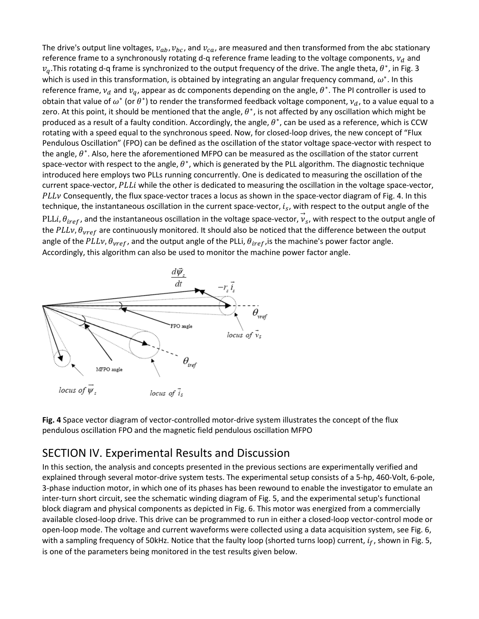The drive's output line voltages,  $v_{ab}$ ,  $v_{bc}$ , and  $v_{ca}$ , are measured and then transformed from the abc stationary reference frame to a synchronously rotating d-q reference frame leading to the voltage components,  $v_d$  and  $v_a$ .This rotating d-q frame is synchronized to the output frequency of the drive. The angle theta,  $\theta^*$ , in Fig. 3 which is used in this transformation, is obtained by integrating an angular frequency command,  $\omega^*$ . In this reference frame,  $v_d$  and  $v_q$ , appear as dc components depending on the angle,  $\theta^*$ . The PI controller is used to obtain that value of  $\omega^*$  (or  $\theta^*$ ) to render the transformed feedback voltage component,  $v_d$ , to a value equal to a zero. At this point, it should be mentioned that the angle,  $\theta^*$ , is not affected by any oscillation which might be produced as a result of a faulty condition. Accordingly, the angle,  $\theta^*$ , can be used as a reference, which is CCW rotating with a speed equal to the synchronous speed. Now, for closed-loop drives, the new concept of "Flux Pendulous Oscillation" (FPO) can be defined as the oscillation of the stator voltage space-vector with respect to the angle,  $\theta^*$ . Also, here the aforementioned MFPO can be measured as the oscillation of the stator current space-vector with respect to the angle,  $\theta^*$ , which is generated by the PLL algorithm. The diagnostic technique introduced here employs two PLLs running concurrently. One is dedicated to measuring the oscillation of the current space-vector, PLLi while the other is dedicated to measuring the oscillation in the voltage space-vector,  $PLLv$  Consequently, the flux space-vector traces a locus as shown in the space-vector diagram of Fig. 4. In this technique, the instantaneous oscillation in the current space-vector,  $i_s$ , with respect to the output angle of the PLLi,  $\theta_{iref}$ , and the instantaneous oscillation in the voltage space-vector,  $\vec{v}_s$ , with respect to the output angle of the  $PLLv$ ,  $\theta_{vref}$  are continuously monitored. It should also be noticed that the difference between the output angle of the PLLv,  $\theta_{vref}$ , and the output angle of the PLLi,  $\theta_{iref}$ , is the machine's power factor angle. Accordingly, this algorithm can also be used to monitor the machine power factor angle.



**Fig. 4** Space vector diagram of vector-controlled motor-drive system illustrates the concept of the flux pendulous oscillation FPO and the magnetic field pendulous oscillation MFPO

### SECTION IV. Experimental Results and Discussion

In this section, the analysis and concepts presented in the previous sections are experimentally verified and explained through several motor-drive system tests. The experimental setup consists of a 5-hp, 460-Volt, 6-pole, 3-phase induction motor, in which one of its phases has been rewound to enable the investigator to emulate an inter-turn short circuit, see the schematic winding diagram of Fig. 5, and the experimental setup's functional block diagram and physical components as depicted in Fig. 6. This motor was energized from a commercially available closed-loop drive. This drive can be programmed to run in either a closed-loop vector-control mode or open-loop mode. The voltage and current waveforms were collected using a data acquisition system, see Fig. 6, with a sampling frequency of 50kHz. Notice that the faulty loop (shorted turns loop) current,  $i_f$ , shown in Fig. 5, is one of the parameters being monitored in the test results given below.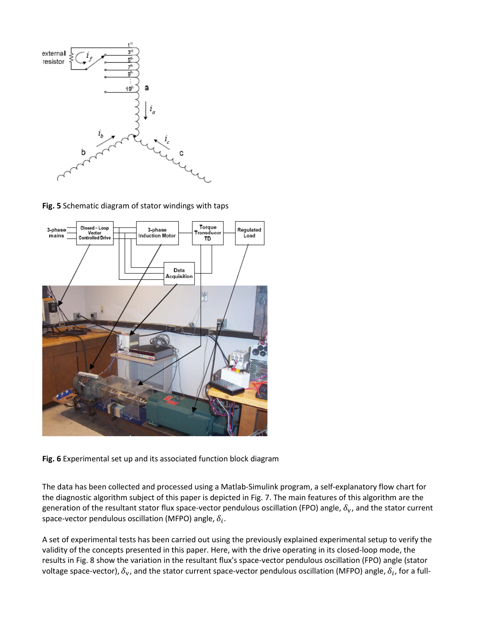

**Fig. 5** Schematic diagram of stator windings with taps



**Fig. 6** Experimental set up and its associated function block diagram

The data has been collected and processed using a Matlab-Simulink program, a self-explanatory flow chart for the diagnostic algorithm subject of this paper is depicted in Fig. 7. The main features of this algorithm are the generation of the resultant stator flux space-vector pendulous oscillation (FPO) angle,  $\delta_v$ , and the stator current space-vector pendulous oscillation (MFPO) angle,  $\delta_i$ .

A set of experimental tests has been carried out using the previously explained experimental setup to verify the validity of the concepts presented in this paper. Here, with the drive operating in its closed-loop mode, the results in Fig. 8 show the variation in the resultant flux's space-vector pendulous oscillation (FPO) angle (stator voltage space-vector),  $\delta_{v}$ , and the stator current space-vector pendulous oscillation (MFPO) angle,  $\delta_{i}$ , for a full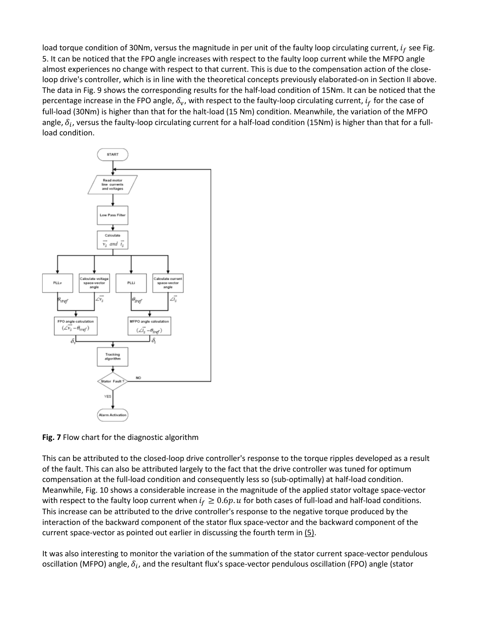load torque condition of 30Nm, versus the magnitude in per unit of the faulty loop circulating current,  $i_f$  see Fig. 5. It can be noticed that the FPO angle increases with respect to the faulty loop current while the MFPO angle almost experiences no change with respect to that current. This is due to the compensation action of the closeloop drive's controller, which is in line with the theoretical concepts previously elaborated-on in Section II above. The data in Fig. 9 shows the corresponding results for the half-load condition of 15Nm. It can be noticed that the percentage increase in the FPO angle,  $\delta_v$ , with respect to the faulty-loop circulating current,  $i_f$  for the case of full-load (30Nm) is higher than that for the halt-load (15 Nm) condition. Meanwhile, the variation of the MFPO angle,  $\delta_i$ , versus the faulty-loop circulating current for a half-load condition (15Nm) is higher than that for a fullload condition.



**Fig. 7** Flow chart for the diagnostic algorithm

This can be attributed to the closed-loop drive controller's response to the torque ripples developed as a result of the fault. This can also be attributed largely to the fact that the drive controller was tuned for optimum compensation at the full-load condition and consequently less so (sub-optimally) at half-load condition. Meanwhile, Fig. 10 shows a considerable increase in the magnitude of the applied stator voltage space-vector with respect to the faulty loop current when  $i_f \geq 0.6p$ . u for both cases of full-load and half-load conditions. This increase can be attributed to the drive controller's response to the negative torque produced by the interaction of the backward component of the stator flux space-vector and the backward component of the current space-vector as pointed out earlier in discussing the fourth term i[n \(5\).](https://ieeexplore.ieee.org/document/#deqn5)

It was also interesting to monitor the variation of the summation of the stator current space-vector pendulous oscillation (MFPO) angle,  $\delta_i$ , and the resultant flux's space-vector pendulous oscillation (FPO) angle (stator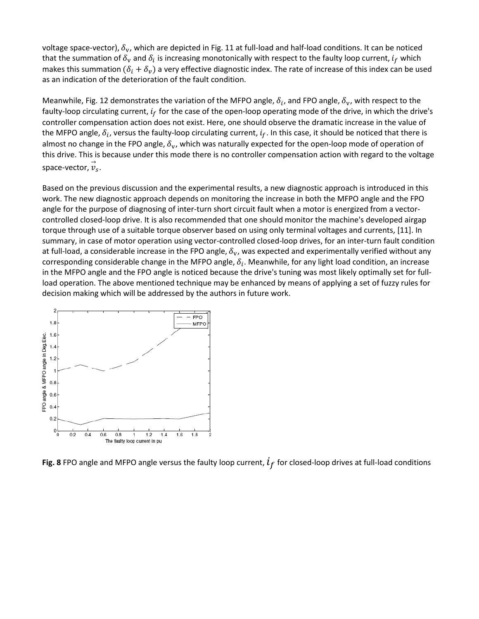voltage space-vector),  $\delta_{v}$ , which are depicted in Fig. 11 at full-load and half-load conditions. It can be noticed that the summation of  $\delta_v$  and  $\delta_i$  is increasing monotonically with respect to the faulty loop current,  $i_f$  which makes this summation  $(\delta_i + \delta_v)$  a very effective diagnostic index. The rate of increase of this index can be used as an indication of the deterioration of the fault condition.

Meanwhile, Fig. 12 demonstrates the variation of the MFPO angle,  $\delta_i$ , and FPO angle,  $\delta_{\rm v}$ , with respect to the faulty-loop circulating current,  $i_f$  for the case of the open-loop operating mode of the drive, in which the drive's controller compensation action does not exist. Here, one should observe the dramatic increase in the value of the MFPO angle,  $\delta_i$ , versus the faulty-loop circulating current,  $i_f$ . In this case, it should be noticed that there is almost no change in the FPO angle,  $\delta_{\rm v}$ , which was naturally expected for the open-loop mode of operation of this drive. This is because under this mode there is no controller compensation action with regard to the voltage space-vector,  $\vec{v}_s$ .

Based on the previous discussion and the experimental results, a new diagnostic approach is introduced in this work. The new diagnostic approach depends on monitoring the increase in both the MFPO angle and the FPO angle for the purpose of diagnosing of inter-turn short circuit fault when a motor is energized from a vectorcontrolled closed-loop drive. It is also recommended that one should monitor the machine's developed airgap torque through use of a suitable torque observer based on using only terminal voltages and currents, [11]. In summary, in case of motor operation using vector-controlled closed-loop drives, for an inter-turn fault condition at full-load, a considerable increase in the FPO angle,  $\delta_{\rm v}$ , was expected and experimentally verified without any corresponding considerable change in the MFPO angle,  $\delta_i$ . Meanwhile, for any light load condition, an increase in the MFPO angle and the FPO angle is noticed because the drive's tuning was most likely optimally set for fullload operation. The above mentioned technique may be enhanced by means of applying a set of fuzzy rules for decision making which will be addressed by the authors in future work.



**Fig. 8** FPO angle and MFPO angle versus the faulty loop current,  $l_f$  for closed-loop drives at full-load conditions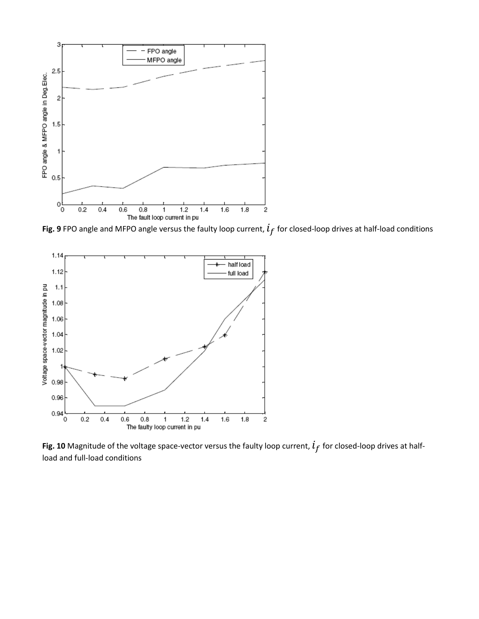

**Fig. 9** FPO angle and MFPO angle versus the faulty loop current,  $l_f$  for closed-loop drives at half-load conditions



**Fig. 10** Magnitude of the voltage space-vector versus the faulty loop current,  $i_f$  for closed-loop drives at halfload and full-load conditions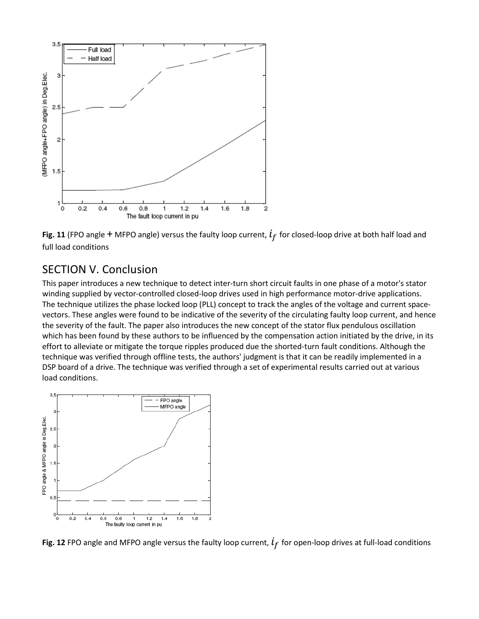

**Fig. 11** (FPO angle + MFPO angle) versus the faulty loop current,  $l_f$  for closed-loop drive at both half load and full load conditions

### SECTION V. Conclusion

This paper introduces a new technique to detect inter-turn short circuit faults in one phase of a motor's stator winding supplied by vector-controlled closed-loop drives used in high performance motor-drive applications. The technique utilizes the phase locked loop (PLL) concept to track the angles of the voltage and current spacevectors. These angles were found to be indicative of the severity of the circulating faulty loop current, and hence the severity of the fault. The paper also introduces the new concept of the stator flux pendulous oscillation which has been found by these authors to be influenced by the compensation action initiated by the drive, in its effort to alleviate or mitigate the torque ripples produced due the shorted-turn fault conditions. Although the technique was verified through offline tests, the authors' judgment is that it can be readily implemented in a DSP board of a drive. The technique was verified through a set of experimental results carried out at various load conditions.



**Fig. 12** FPO angle and MFPO angle versus the faulty loop current,  $i_f$  for open-loop drives at full-load conditions